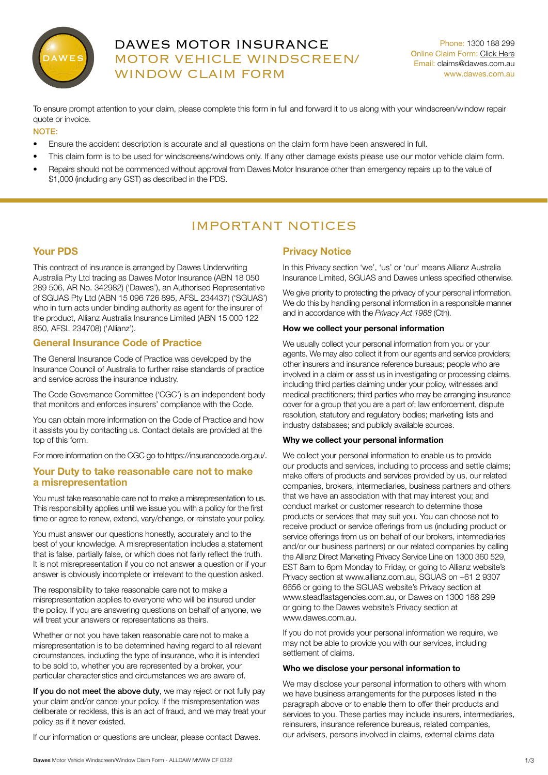

# DAWES MOTOR INSURANCE MOTOR VEHICLE WINDSCREEN/ WINDOW CLAIM FORM

Phone: 1300 188 299 Online Claim Form: [Click Here](https://steadfast.360sv.com.au/as/9MF5KtXN4Tjr4BjrZTJmQfxM) Email: claims@dawes.com.au <www.dawes.com.au>

To ensure prompt attention to your claim, please complete this form in full and forward it to us along with your windscreen/window repair quote or invoice.

## NOTE:

- Ensure the accident description is accurate and all questions on the claim form have been answered in full.
- This claim form is to be used for windscreens/windows only. If any other damage exists please use our motor vehicle claim form.
- Repairs should not be commenced without approval from Dawes Motor Insurance other than emergency repairs up to the value of \$1,000 (including any GST) as described in the PDS.

# IMPORTANT NOTICES

## Your PDS

This contract of insurance is arranged by Dawes Underwriting Australia Pty Ltd trading as Dawes Motor Insurance (ABN 18 050 289 506, AR No. 342982) ('Dawes'), an Authorised Representative of SGUAS Pty Ltd (ABN 15 096 726 895, AFSL 234437) ('SGUAS') who in turn acts under binding authority as agent for the insurer of the product, Allianz Australia Insurance Limited (ABN 15 000 122 850, AFSL 234708) ('Allianz').

## General Insurance Code of Practice

The General Insurance Code of Practice was developed by the Insurance Council of Australia to further raise standards of practice and service across the insurance industry.

The Code Governance Committee ('CGC') is an independent body that monitors and enforces insurers' compliance with the Code.

You can obtain more information on the Code of Practice and how it assists you by contacting us. Contact details are provided at the top of this form.

For more information on the CGC go to https://insurancecode.org.au/.

## Your Duty to take reasonable care not to make a misrepresentation

You must take reasonable care not to make a misrepresentation to us. This responsibility applies until we issue you with a policy for the first time or agree to renew, extend, vary/change, or reinstate your policy.

You must answer our questions honestly, accurately and to the best of your knowledge. A misrepresentation includes a statement that is false, partially false, or which does not fairly reflect the truth. It is not misrepresentation if you do not answer a question or if your answer is obviously incomplete or irrelevant to the question asked.

The responsibility to take reasonable care not to make a misrepresentation applies to everyone who will be insured under the policy. If you are answering questions on behalf of anyone, we will treat your answers or representations as theirs.

Whether or not you have taken reasonable care not to make a misrepresentation is to be determined having regard to all relevant circumstances, including the type of insurance, who it is intended to be sold to, whether you are represented by a broker, your particular characteristics and circumstances we are aware of.

If you do not meet the above duty, we may reject or not fully pay your claim and/or cancel your policy. If the misrepresentation was deliberate or reckless, this is an act of fraud, and we may treat your policy as if it never existed.

If our information or questions are unclear, please contact Dawes.

## Privacy Notice

In this Privacy section 'we', 'us' or 'our' means Allianz Australia Insurance Limited, SGUAS and Dawes unless specified otherwise.

We give priority to protecting the privacy of your personal information. We do this by handling personal information in a responsible manner and in accordance with the *Privacy Act 1988* (Cth).

#### How we collect your personal information

We usually collect your personal information from you or your agents. We may also collect it from our agents and service providers; other insurers and insurance reference bureaus; people who are involved in a claim or assist us in investigating or processing claims, including third parties claiming under your policy, witnesses and medical practitioners; third parties who may be arranging insurance cover for a group that you are a part of; law enforcement, dispute resolution, statutory and regulatory bodies; marketing lists and industry databases; and publicly available sources.

#### Why we collect your personal information

We collect your personal information to enable us to provide our products and services, including to process and settle claims; make offers of products and services provided by us, our related companies, brokers, intermediaries, business partners and others that we have an association with that may interest you; and conduct market or customer research to determine those products or services that may suit you. You can choose not to receive product or service offerings from us (including product or service offerings from us on behalf of our brokers, intermediaries and/or our business partners) or our related companies by calling the Allianz Direct Marketing Privacy Service Line on 1300 360 529, EST 8am to 6pm Monday to Friday, or going to Allianz website's Privacy section at www.allianz.com.au, SGUAS on +61 2 9307 6656 or going to the SGUAS website's Privacy section at www.steadfastagencies.com.au, or Dawes on 1300 188 299 or going to the Dawes website's Privacy section at www.dawes.com.au.

If you do not provide your personal information we require, we may not be able to provide you with our services, including settlement of claims.

#### Who we disclose your personal information to

We may disclose your personal information to others with whom we have business arrangements for the purposes listed in the paragraph above or to enable them to offer their products and services to you. These parties may include insurers, intermediaries, reinsurers, insurance reference bureaus, related companies, our advisers, persons involved in claims, external claims data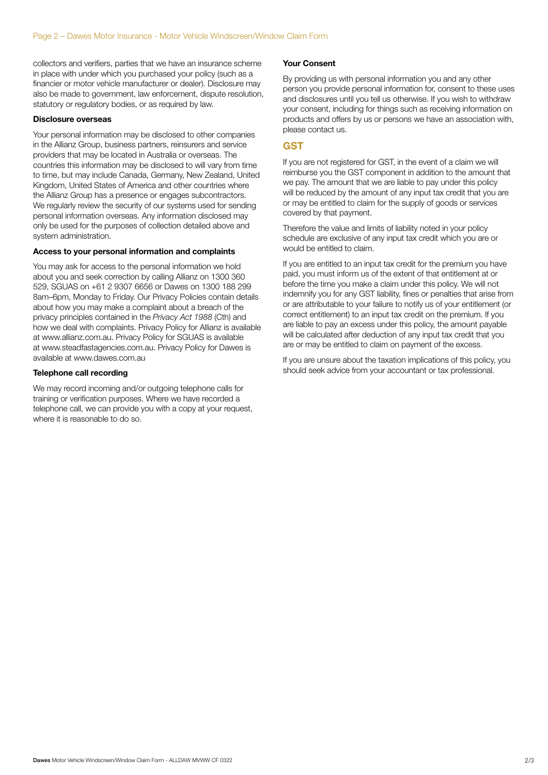collectors and verifiers, parties that we have an insurance scheme in place with under which you purchased your policy (such as a financier or motor vehicle manufacturer or dealer). Disclosure may also be made to government, law enforcement, dispute resolution, statutory or regulatory bodies, or as required by law.

#### Disclosure overseas

Your personal information may be disclosed to other companies in the Allianz Group, business partners, reinsurers and service providers that may be located in Australia or overseas. The countries this information may be disclosed to will vary from time to time, but may include Canada, Germany, New Zealand, United Kingdom, United States of America and other countries where the Allianz Group has a presence or engages subcontractors. We regularly review the security of our systems used for sending personal information overseas. Any information disclosed may only be used for the purposes of collection detailed above and system administration.

#### Access to your personal information and complaints

You may ask for access to the personal information we hold about you and seek correction by calling Allianz on 1300 360 529, SGUAS on +61 2 9307 6656 or Dawes on 1300 188 299 8am–6pm, Monday to Friday. Our Privacy Policies contain details about how you may make a complaint about a breach of the privacy principles contained in the *Privacy Act 1988* (Cth) and how we deal with complaints. Privacy Policy for Allianz is available at www.allianz.com.au. Privacy Policy for SGUAS is available at www.steadfastagencies.com.au. Privacy Policy for Dawes is available at www.dawes.com.au

## Telephone call recording

We may record incoming and/or outgoing telephone calls for training or verification purposes. Where we have recorded a telephone call, we can provide you with a copy at your request, where it is reasonable to do so.

### Your Consent

By providing us with personal information you and any other person you provide personal information for, consent to these uses and disclosures until you tell us otherwise. If you wish to withdraw your consent, including for things such as receiving information on products and offers by us or persons we have an association with, please contact us.

### **GST**

If you are not registered for GST, in the event of a claim we will reimburse you the GST component in addition to the amount that we pay. The amount that we are liable to pay under this policy will be reduced by the amount of any input tax credit that you are or may be entitled to claim for the supply of goods or services covered by that payment.

Therefore the value and limits of liability noted in your policy schedule are exclusive of any input tax credit which you are or would be entitled to claim.

If you are entitled to an input tax credit for the premium you have paid, you must inform us of the extent of that entitlement at or before the time you make a claim under this policy. We will not indemnify you for any GST liability, fines or penalties that arise from or are attributable to your failure to notify us of your entitlement (or correct entitlement) to an input tax credit on the premium. If you are liable to pay an excess under this policy, the amount payable will be calculated after deduction of any input tax credit that you are or may be entitled to claim on payment of the excess.

If you are unsure about the taxation implications of this policy, you should seek advice from your accountant or tax professional.